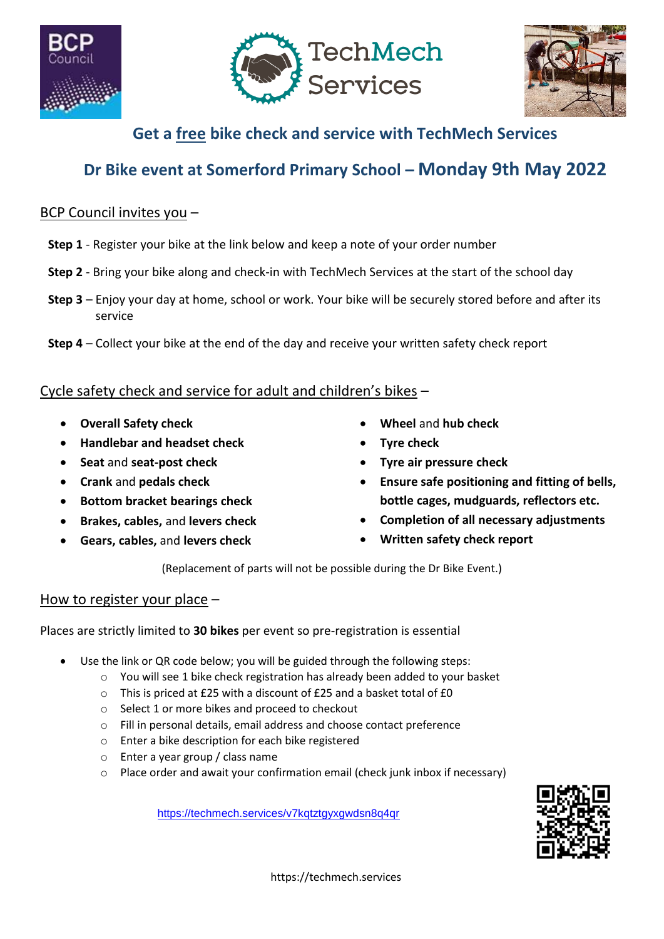





### **Get a free bike check and service with TechMech Services**

## **Dr Bike event at Somerford Primary School – Monday 9th May 2022**

#### BCP Council invites you –

- **Step 1** Register your bike at the link below and keep a note of your order number
- **Step 2** Bring your bike along and check-in with TechMech Services at the start of the school day
- **Step 3** Enjoy your day at home, school or work. Your bike will be securely stored before and after its service
- **Step 4** Collect your bike at the end of the day and receive your written safety check report

#### Cycle safety check and service for adult and children's bikes –

- **Overall Safety check**
- **Handlebar and headset check**
- **Seat** and **seat-post check**
- **Crank** and **pedals check**
- **Bottom bracket bearings check**
- **Brakes, cables,** and **levers check**
- **Gears, cables,** and **levers check**
- **Wheel** and **hub check**
- **Tyre check**
- **Tyre air pressure check**
- **Ensure safe positioning and fitting of bells, bottle cages, mudguards, reflectors etc.**
- **Completion of all necessary adjustments**
- **Written safety check report**

(Replacement of parts will not be possible during the Dr Bike Event.)

#### How to register your place –

Places are strictly limited to **30 bikes** per event so pre-registration is essential

- Use the link or QR code below; you will be guided through the following steps:
	- o You will see 1 bike check registration has already been added to your basket
	- o This is priced at £25 with a discount of £25 and a basket total of £0
	- o Select 1 or more bikes and proceed to checkout
	- o Fill in personal details, email address and choose contact preference
	- o Enter a bike description for each bike registered
	- o Enter a year group / class name
	- o Place order and await your confirmation email (check junk inbox if necessary)

<https://techmech.services/v7kqtztgyxgwdsn8q4qr>



https://techmech.services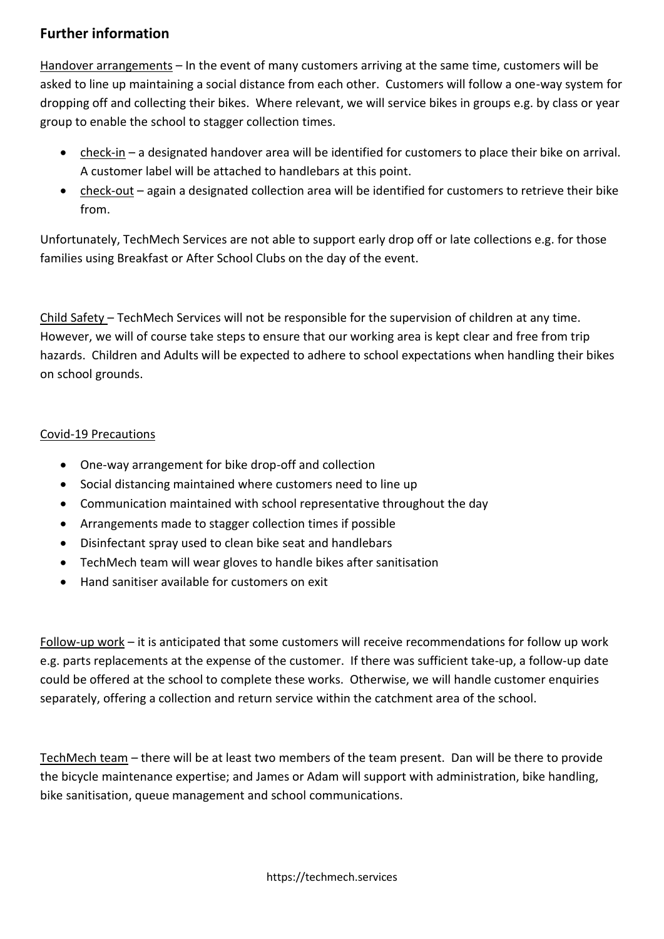#### **Further information**

Handover arrangements – In the event of many customers arriving at the same time, customers will be asked to line up maintaining a social distance from each other. Customers will follow a one-way system for dropping off and collecting their bikes. Where relevant, we will service bikes in groups e.g. by class or year group to enable the school to stagger collection times.

- check-in a designated handover area will be identified for customers to place their bike on arrival. A customer label will be attached to handlebars at this point.
- check-out again a designated collection area will be identified for customers to retrieve their bike from.

Unfortunately, TechMech Services are not able to support early drop off or late collections e.g. for those families using Breakfast or After School Clubs on the day of the event.

Child Safety – TechMech Services will not be responsible for the supervision of children at any time. However, we will of course take steps to ensure that our working area is kept clear and free from trip hazards. Children and Adults will be expected to adhere to school expectations when handling their bikes on school grounds.

#### Covid-19 Precautions

- One-way arrangement for bike drop-off and collection
- Social distancing maintained where customers need to line up
- Communication maintained with school representative throughout the day
- Arrangements made to stagger collection times if possible
- Disinfectant spray used to clean bike seat and handlebars
- TechMech team will wear gloves to handle bikes after sanitisation
- Hand sanitiser available for customers on exit

Follow-up work – it is anticipated that some customers will receive recommendations for follow up work e.g. parts replacements at the expense of the customer. If there was sufficient take-up, a follow-up date could be offered at the school to complete these works. Otherwise, we will handle customer enquiries separately, offering a collection and return service within the catchment area of the school.

TechMech team – there will be at least two members of the team present. Dan will be there to provide the bicycle maintenance expertise; and James or Adam will support with administration, bike handling, bike sanitisation, queue management and school communications.